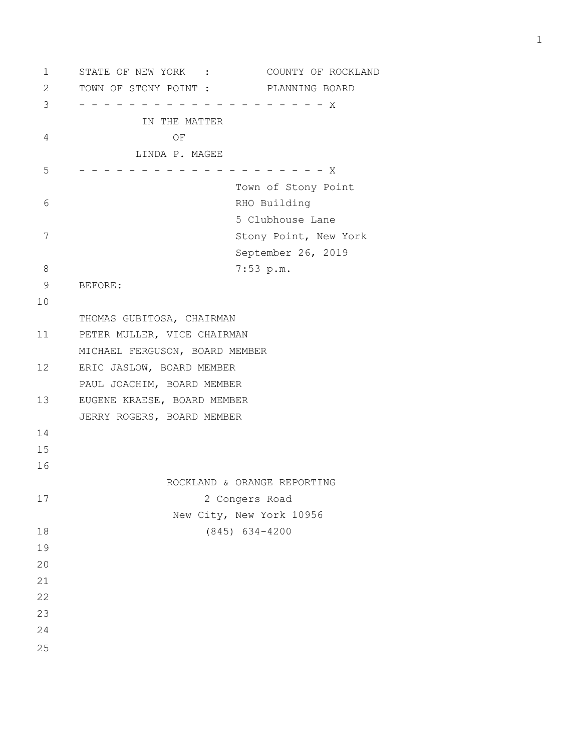1 STATE OF NEW YORK : COUNTY OF ROCKLAND 2 TOWN OF STONY POINT : PLANNING BOARD 3 - - - - - - - - - - - - - - - - - - - - X IN THE MATTER 4 OF LINDA P. MAGEE  $5$  - - - - - - - - - - - - - - - - - - X Town of Stony Point 6 RHO Building 5 Clubhouse Lane 7 Stony Point, New York September 26, 2019 8 7:53 p.m. 9 BEFORE: 10 THOMAS GUBITOSA, CHAIRMAN 11 PETER MULLER, VICE CHAIRMAN MICHAEL FERGUSON, BOARD MEMBER 12 ERIC JASLOW, BOARD MEMBER PAUL JOACHIM, BOARD MEMBER 13 EUGENE KRAESE, BOARD MEMBER JERRY ROGERS, BOARD MEMBER 14 15 16 ROCKLAND & ORANGE REPORTING 17 2 Congers Road New City, New York 10956 18 (845) 634-4200 19 20 21 22 23 24 25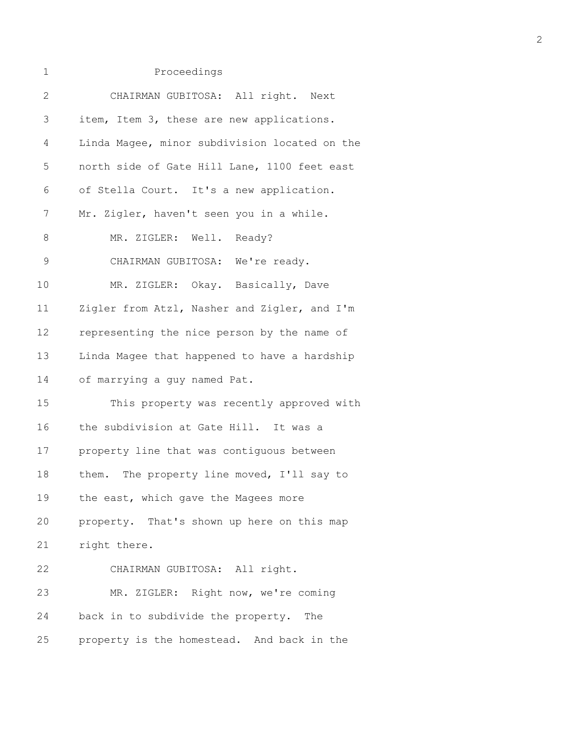| $\mathbf 1$  | Proceedings                                   |
|--------------|-----------------------------------------------|
| $\mathbf{2}$ | CHAIRMAN GUBITOSA: All right. Next            |
| 3            | item, Item 3, these are new applications.     |
| 4            | Linda Magee, minor subdivision located on the |
| 5            | north side of Gate Hill Lane, 1100 feet east  |
| 6            | of Stella Court. It's a new application.      |
| 7            | Mr. Zigler, haven't seen you in a while.      |
| 8            | MR. ZIGLER: Well. Ready?                      |
| $\mathsf 9$  | CHAIRMAN GUBITOSA: We're ready.               |
| 10           | MR. ZIGLER: Okay. Basically, Dave             |
| 11           | Zigler from Atzl, Nasher and Zigler, and I'm  |
| 12           | representing the nice person by the name of   |
| 13           | Linda Magee that happened to have a hardship  |
| 14           | of marrying a guy named Pat.                  |
| 15           | This property was recently approved with      |
| 16           | the subdivision at Gate Hill. It was a        |
| 17           | property line that was contiguous between     |
| 18           | them. The property line moved, I'll say to    |
| 19           | the east, which gave the Magees more          |
| 20           | property. That's shown up here on this map    |
| 21           | right there.                                  |
| 22           | CHAIRMAN GUBITOSA: All right.                 |
| 23           | MR. ZIGLER: Right now, we're coming           |
| 24           | back in to subdivide the property. The        |
| 25           | property is the homestead. And back in the    |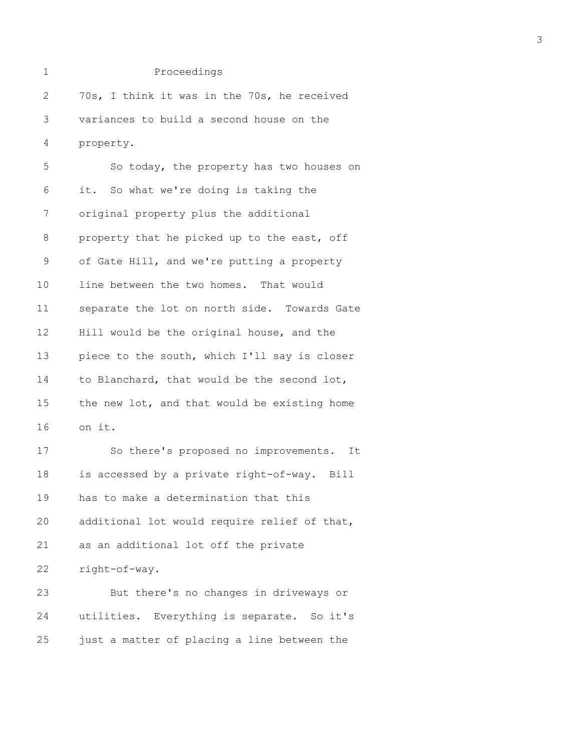```
1 Proceedings
2 70s, I think it was in the 70s, he received
3 variances to build a second house on the
4 property.
5 So today, the property has two houses on
6 it. So what we're doing is taking the
7 original property plus the additional
8 property that he picked up to the east, off
9 of Gate Hill, and we're putting a property
10 line between the two homes. That would
11 separate the lot on north side. Towards Gate
12 Hill would be the original house, and the
13 piece to the south, which I'll say is closer
14 to Blanchard, that would be the second lot,
15 the new lot, and that would be existing home
16 on it.
17 So there's proposed no improvements. It
18 is accessed by a private right-of-way. Bill
19 has to make a determination that this
20 additional lot would require relief of that,
21 as an additional lot off the private
```
22 right-of-way.

23 But there's no changes in driveways or 24 utilities. Everything is separate. So it's 25 just a matter of placing a line between the

3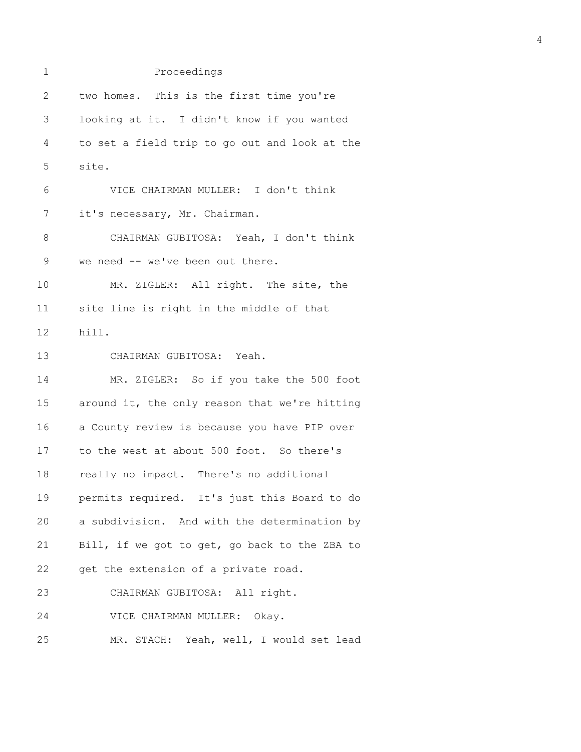| 1              | Proceedings                                   |
|----------------|-----------------------------------------------|
| $\overline{2}$ | two homes. This is the first time you're      |
| 3              | looking at it. I didn't know if you wanted    |
| 4              | to set a field trip to go out and look at the |
| 5              | site.                                         |
| 6              | VICE CHAIRMAN MULLER: I don't think           |
| 7              | it's necessary, Mr. Chairman.                 |
| 8              | CHAIRMAN GUBITOSA: Yeah, I don't think        |
| $\mathsf 9$    | we need -- we've been out there.              |
| 10             | MR. ZIGLER: All right. The site, the          |
| 11             | site line is right in the middle of that      |
| 12             | hill.                                         |
| 13             | CHAIRMAN GUBITOSA: Yeah.                      |
| 14             | MR. ZIGLER: So if you take the 500 foot       |
| 15             | around it, the only reason that we're hitting |
| 16             | a County review is because you have PIP over  |
| 17             | to the west at about 500 foot. So there's     |
| 18             | really no impact. There's no additional       |
| 19             | permits required. It's just this Board to do  |
| 20             | a subdivision. And with the determination by  |
| 21             | Bill, if we got to get, go back to the ZBA to |
| 22             | get the extension of a private road.          |
| 23             | CHAIRMAN GUBITOSA: All right.                 |
| 24             | VICE CHAIRMAN MULLER: Okay.                   |
| 25             | MR. STACH: Yeah, well, I would set lead       |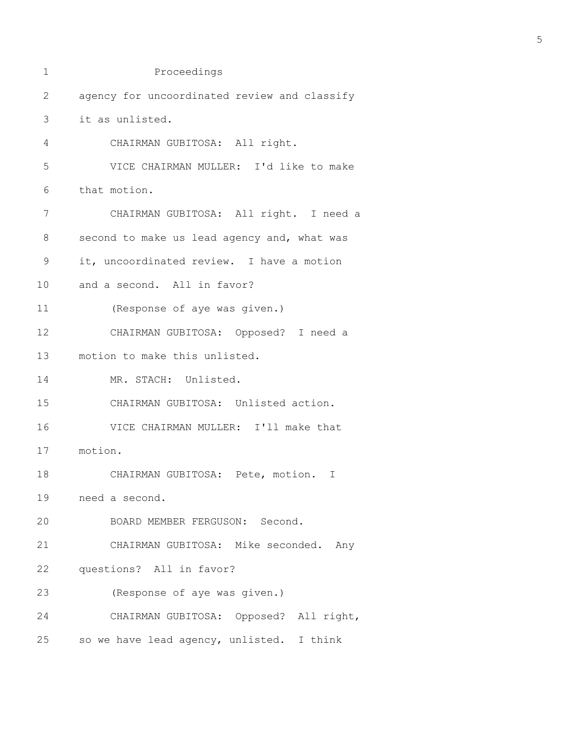| 1  | Proceedings                                  |  |  |  |  |
|----|----------------------------------------------|--|--|--|--|
| 2  | agency for uncoordinated review and classify |  |  |  |  |
| 3  | it as unlisted.                              |  |  |  |  |
| 4  | CHAIRMAN GUBITOSA: All right.                |  |  |  |  |
| 5  | VICE CHAIRMAN MULLER: I'd like to make       |  |  |  |  |
| 6  | that motion.                                 |  |  |  |  |
| 7  | CHAIRMAN GUBITOSA: All right. I need a       |  |  |  |  |
| 8  | second to make us lead agency and, what was  |  |  |  |  |
| 9  | it, uncoordinated review. I have a motion    |  |  |  |  |
| 10 | and a second. All in favor?                  |  |  |  |  |
| 11 | (Response of aye was given.)                 |  |  |  |  |
| 12 | CHAIRMAN GUBITOSA: Opposed? I need a         |  |  |  |  |
| 13 | motion to make this unlisted.                |  |  |  |  |
| 14 | MR. STACH: Unlisted.                         |  |  |  |  |
| 15 | CHAIRMAN GUBITOSA: Unlisted action.          |  |  |  |  |
| 16 | VICE CHAIRMAN MULLER: I'll make that         |  |  |  |  |
| 17 | motion.                                      |  |  |  |  |
| 18 | CHAIRMAN GUBITOSA: Pete, motion.<br>T        |  |  |  |  |
| 19 | need a second.                               |  |  |  |  |
| 20 | BOARD MEMBER FERGUSON: Second.               |  |  |  |  |
| 21 | CHAIRMAN GUBITOSA: Mike seconded. Any        |  |  |  |  |
| 22 | questions? All in favor?                     |  |  |  |  |
| 23 | (Response of aye was given.)                 |  |  |  |  |
| 24 | CHAIRMAN GUBITOSA: Opposed? All right,       |  |  |  |  |
| 25 | so we have lead agency, unlisted. I think    |  |  |  |  |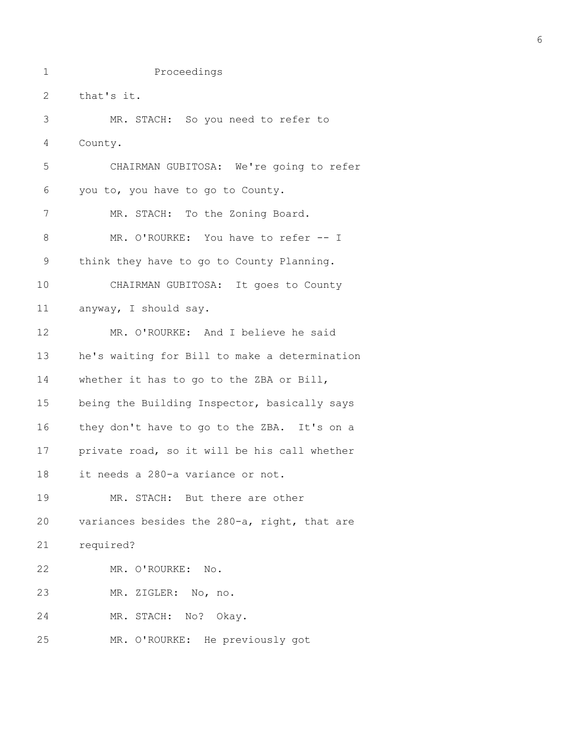1 Proceedings

2 that's it. 3 MR. STACH: So you need to refer to 4 County. 5 CHAIRMAN GUBITOSA: We're going to refer 6 you to, you have to go to County. 7 MR. STACH: To the Zoning Board. 8 MR. O'ROURKE: You have to refer -- I 9 think they have to go to County Planning. 10 CHAIRMAN GUBITOSA: It goes to County 11 anyway, I should say. 12 MR. O'ROURKE: And I believe he said 13 he's waiting for Bill to make a determination 14 whether it has to go to the ZBA or Bill, 15 being the Building Inspector, basically says 16 they don't have to go to the ZBA. It's on a 17 private road, so it will be his call whether 18 it needs a 280-a variance or not. 19 MR. STACH: But there are other 20 variances besides the 280-a, right, that are 21 required? 22 MR. O'ROURKE: No. 23 MR. ZIGLER: No, no. 24 MR. STACH: No? Okay. 25 MR. O'ROURKE: He previously got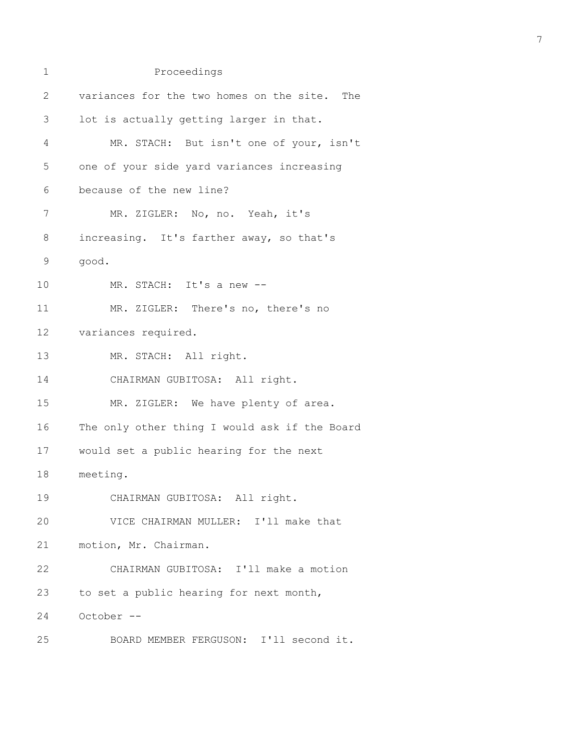| $\mathbf 1$ | Proceedings                                   |
|-------------|-----------------------------------------------|
| 2           | variances for the two homes on the site. The  |
| 3           | lot is actually getting larger in that.       |
| 4           | MR. STACH: But isn't one of your, isn't       |
| 5           | one of your side yard variances increasing    |
| 6           | because of the new line?                      |
| 7           | MR. ZIGLER: No, no. Yeah, it's                |
| 8           | increasing. It's farther away, so that's      |
| 9           | good.                                         |
| 10          | MR. STACH: It's a new --                      |
| 11          | MR. ZIGLER: There's no, there's no            |
| 12          | variances required.                           |
| 13          | MR. STACH: All right.                         |
| 14          | CHAIRMAN GUBITOSA: All right.                 |
| 15          | MR. ZIGLER: We have plenty of area.           |
| 16          | The only other thing I would ask if the Board |
| 17          | would set a public hearing for the next       |
| 18          | meeting.                                      |
| 19          | CHAIRMAN GUBITOSA: All right.                 |
| 20          | VICE CHAIRMAN MULLER: I'll make that          |
| 21          | motion, Mr. Chairman.                         |
| 22          | CHAIRMAN GUBITOSA: I'll make a motion         |
| 23          | to set a public hearing for next month,       |
| 24          | October --                                    |
| 25          | BOARD MEMBER FERGUSON: I'll second it.        |

7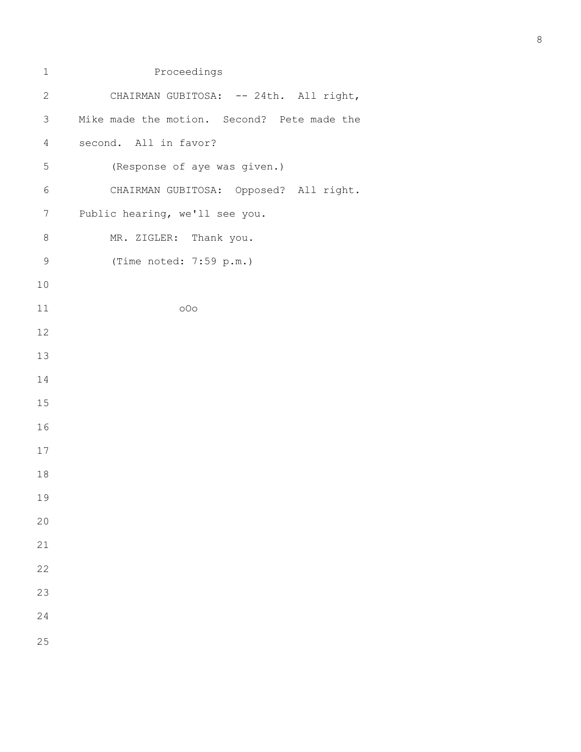| $\mathbf 1$    | Proceedings                                 |
|----------------|---------------------------------------------|
| $\mathbf{2}$   | CHAIRMAN GUBITOSA: -- 24th. All right,      |
| 3              | Mike made the motion. Second? Pete made the |
| $\overline{4}$ | second. All in favor?                       |
| 5              | (Response of aye was given.)                |
| 6              | CHAIRMAN GUBITOSA: Opposed? All right.      |
| 7              | Public hearing, we'll see you.              |
| $\,8\,$        | MR. ZIGLER: Thank you.                      |
| $\mathsf 9$    | (Time noted: 7:59 p.m.)                     |
| $10$           |                                             |
| 11             | 000                                         |
| 12             |                                             |
| 13             |                                             |
| 14             |                                             |
| 15             |                                             |
| 16             |                                             |
| 17             |                                             |
| 18             |                                             |
| 19             |                                             |
| 20             |                                             |
| 21             |                                             |
| 22             |                                             |
| 23             |                                             |
| 24             |                                             |
| 25             |                                             |